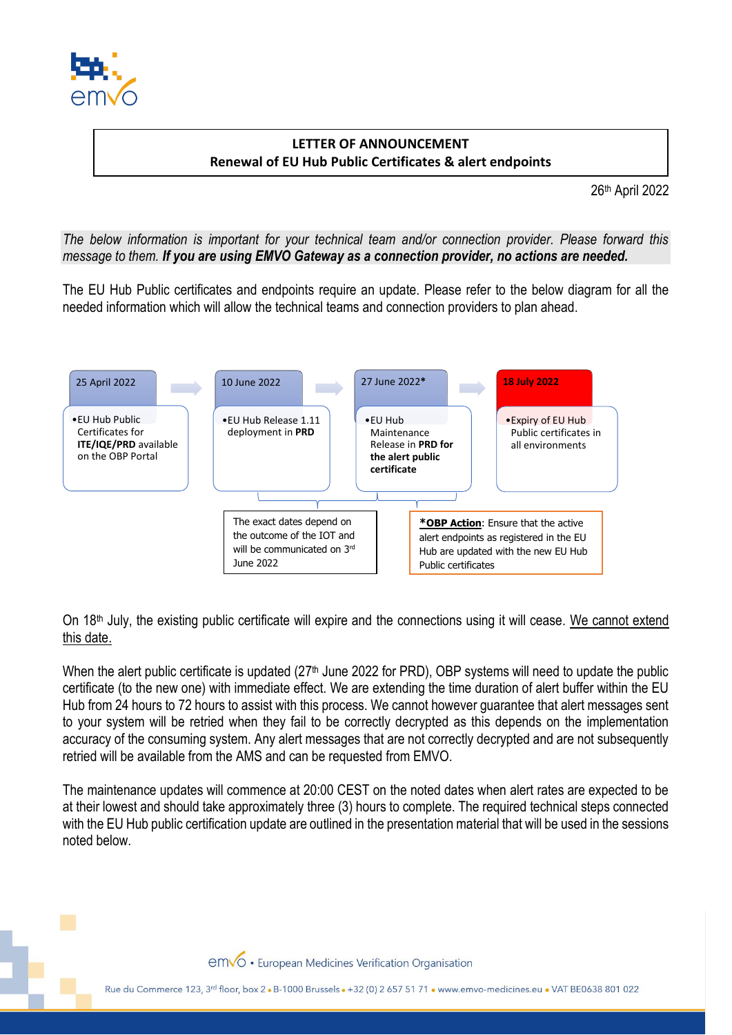

## **LETTER OF ANNOUNCEMENT Renewal of EU Hub Public Certificates & alert endpoints**

26th April 2022

*The below information is important for your technical team and/or connection provider. Please forward this message to them. If you are using EMVO Gateway as a connection provider, no actions are needed.*

The EU Hub Public certificates and endpoints require an update. Please refer to the below diagram for all the needed information which will allow the technical teams and connection providers to plan ahead.



On 18th July, the existing public certificate will expire and the connections using it will cease. We cannot extend this date.

When the alert public certificate is updated  $(27<sup>th</sup>$  June 2022 for PRD), OBP systems will need to update the public certificate (to the new one) with immediate effect. We are extending the time duration of alert buffer within the EU Hub from 24 hours to 72 hours to assist with this process. We cannot however guarantee that alert messages sent to your system will be retried when they fail to be correctly decrypted as this depends on the implementation accuracy of the consuming system. Any alert messages that are not correctly decrypted and are not subsequently retried will be available from the AMS and can be requested from EMVO.

The maintenance updates will commence at 20:00 CEST on the noted dates when alert rates are expected to be at their lowest and should take approximately three (3) hours to complete. The required technical steps connected with the EU Hub public certification update are outlined in the presentation material that will be used in the sessions noted below.

emvo · European Medicines Verification Organisation